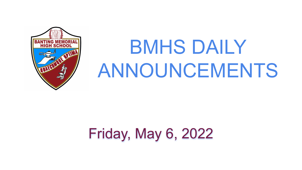# Friday, May 6, 2022



# BMHS DAILY ANNOUNCEMENTS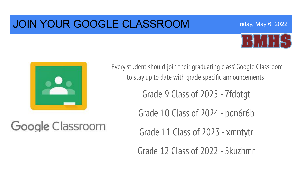# JOIN YOUR GOOGLE CLASSROOM



Friday, May 6, 2022



Google Classroom

Every student should join their graduating class' Google Classroom to stay up to date with grade specific announcements!

Grade 9 Class of 2025 - 7fdotgt

Grade 10 Class of 2024 - pqn6r6b

Grade 11 Class of 2023 - xmntytr

Grade 12 Class of 2022 - 5kuzhmr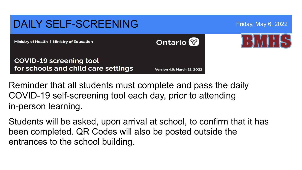### DAILY SELF-SCREENING Friday, May 6, 2022 **Ontario** Ministry of Health | Ministry of Education **COVID-19 screening tool** for schools and child care settings **Version 4.6: March 21, 2022**

Reminder that all students must complete and pass the daily COVID-19 self-screening tool each day, prior to attending in-person learning.

Students will be asked, upon arrival at school, to confirm that it has been completed. QR Codes will also be posted outside the entrances to the school building.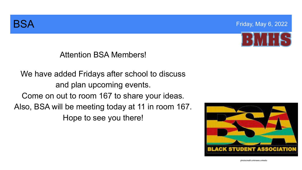



Attention BSA Members!

 Also, BSA will be meeting today at 11 in room 167. We have added Fridays after school to discuss and plan upcoming events. Come on out to room 167 to share your ideas. Hope to see you there!



photocredit:unknews.unkedu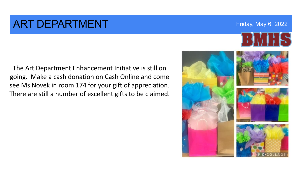# **ART DEPARTMENT Example 2022 Friday, May 6, 2022**

The Art Department Enhancement Initiative is still on going. Make a cash donation on Cash Online and come see Ms Novek in room 174 for your gift of appreciation. There are still a number of excellent gifts to be claimed.

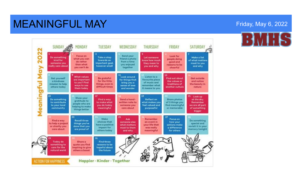# **MEANINGFUL MAY Example 2022 Friday, May 6, 2022**

MONDAY SUNDAY TUESDAY WEDNESDAY THURSDAY FRIDAY SATURDAY 202 **Focus on** Send your Look for Do something Take a step Let someone **Make a list** what you can friend a photo people doing kind for towards on know how much of what matters do rather from a time good and someone you important goal they mean to most to you than what you enjoyed reasons to be š eally care about however small and why you and why you can't do together cheerful ź  $\frac{11}{2}$  Look around What values Listen to a **Be grateful** Set yourself Find out obout Get outside are important for things that favourite piece a kindness for the little the values or and notice eaningful to you? Find bring you a of music and mission to help things, even in traditions of the beauty in remember what ways to use sense of awe others today difficult times another culture noture. them today and wonder it means to you 15 19 21 Look up Show your Do something Find a way Send a hand-**Reflect on** Share photos at the sky. gratitude to: to contribute to make what what makes you of 3 things you written note to Remember people who are to your local you do today feel valued and find meaningful someone you we are all part helping to make or memoroble community meaningful care about purposeful of something things better bigger ž 23 25 **Make** Ask Remember Focus on: **Recall three** Do something Find a way chaices that on event in someone else how your to help a project things you've special and have a positive what matters your life that actions make or charity you done that you revisit it in your impact for a difference most to them was really care about are proud of memory tonight others today meaningful for others and why **Today do** Share a Find three something to quote you find reasons to be care for the inspiring to give hopeful about natural world others a boost the future Happier · Kinder · Together **ACTION FOR HAPPINESS** 

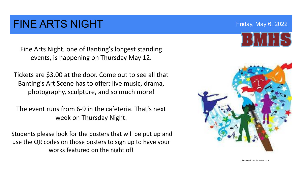# FINE ARTS NIGHT **FINE ARTS** NIGHT

Fine Arts Night, one of Banting's longest standing events, is happening on Thursday May 12.

Tickets are \$3.00 at the door. Come out to see all that Banting's Art Scene has to offer: live music, drama, photography, sculpture, and so much more!

The event runs from 6-9 in the cafeteria. That's next week on Thursday Night.

Students please look for the posters that will be put up and use the QR codes on those posters to sign up to have your works featured on the night of!

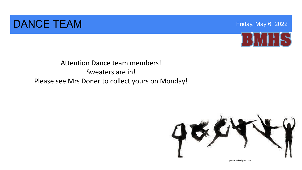# DANCE TEAM Friday, May 6, 2022



### Attention Dance team members! Sweaters are in! Please see Mrs Doner to collect yours on Monday!

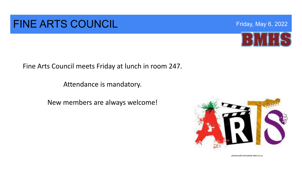# FINE ARTS COUNCIL **FINE ARTS** COUNCIL

Fine Arts Council meets Friday at lunch in room 247.

Attendance is mandatory.

New members are always welcome!



photocredit:schoolweb.tdsb.on.ca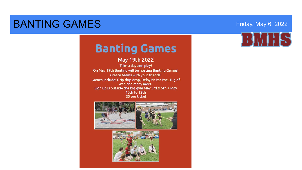# **BANTING GAMES Friday, May 6, 2022**



# **Banting Games**

### **May 19th 2022**

Take a day and play! On May 19th Banting will be hosting Banting Games! Create teams with your friends! Games Include: Drip drip drop, Relay tic-tac-toe, Tug of war, and many more! Sign up is outside the big gym May 3rd & 5th + May 10th to 12th \$5 per ticket



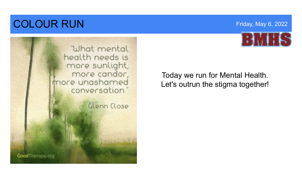# **COLOUR RUN COLOUR RUN**





Today we run for Mental Health. Let's outrun the stigma together!